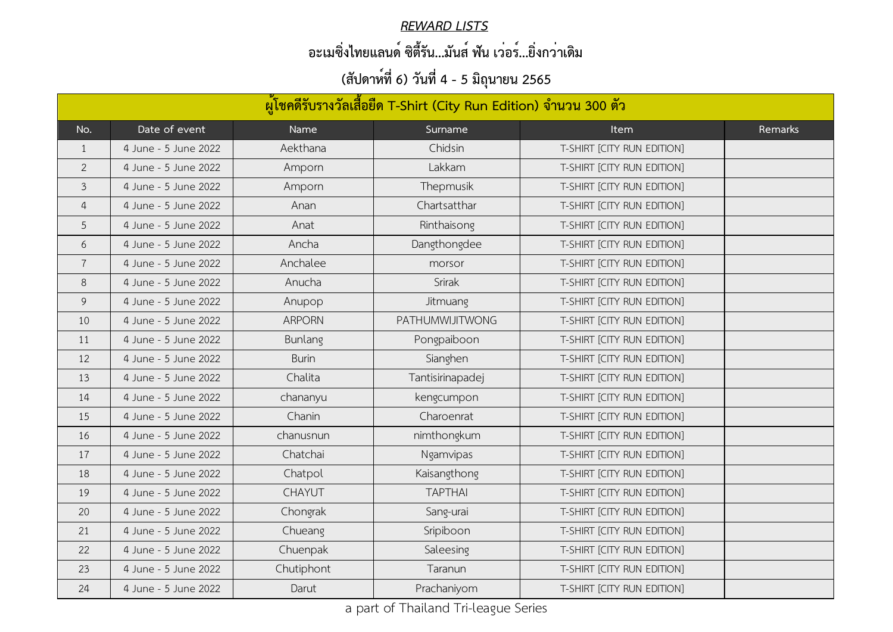| ้ผู้โชคดีรับรางวัลเสื้อยืด T-Shirt (City Run Edition) จำนวน 300 ตัว |                      |                |                        |                            |         |  |  |
|---------------------------------------------------------------------|----------------------|----------------|------------------------|----------------------------|---------|--|--|
| No.                                                                 | Date of event        | Name           | Surname                | <b>Item</b>                | Remarks |  |  |
| $\mathbf 1$                                                         | 4 June - 5 June 2022 | Aekthana       | Chidsin                | T-SHIRT [CITY RUN EDITION] |         |  |  |
| $\overline{2}$                                                      | 4 June - 5 June 2022 | Amporn         | Lakkam                 | T-SHIRT [CITY RUN EDITION] |         |  |  |
| $\mathfrak{Z}$                                                      | 4 June - 5 June 2022 | Amporn         | Thepmusik              | T-SHIRT [CITY RUN EDITION] |         |  |  |
| 4                                                                   | 4 June - 5 June 2022 | Anan           | Chartsatthar           | T-SHIRT [CITY RUN EDITION] |         |  |  |
| 5                                                                   | 4 June - 5 June 2022 | Anat           | Rinthaisong            | T-SHIRT [CITY RUN EDITION] |         |  |  |
| 6                                                                   | 4 June - 5 June 2022 | Ancha          | Dangthongdee           | T-SHIRT [CITY RUN EDITION] |         |  |  |
| $\overline{7}$                                                      | 4 June - 5 June 2022 | Anchalee       | morsor                 | T-SHIRT [CITY RUN EDITION] |         |  |  |
| 8                                                                   | 4 June - 5 June 2022 | Anucha         | Srirak                 | T-SHIRT [CITY RUN EDITION] |         |  |  |
| 9                                                                   | 4 June - 5 June 2022 | Anupop         | Jitmuang               | T-SHIRT [CITY RUN EDITION] |         |  |  |
| 10                                                                  | 4 June - 5 June 2022 | <b>ARPORN</b>  | <b>PATHUMWIJITWONG</b> | T-SHIRT [CITY RUN EDITION] |         |  |  |
| 11                                                                  | 4 June - 5 June 2022 | <b>Bunlang</b> | Pongpaiboon            | T-SHIRT [CITY RUN EDITION] |         |  |  |
| 12                                                                  | 4 June - 5 June 2022 | <b>Burin</b>   | Sianghen               | T-SHIRT [CITY RUN EDITION] |         |  |  |
| 13                                                                  | 4 June - 5 June 2022 | Chalita        | Tantisirinapadej       | T-SHIRT [CITY RUN EDITION] |         |  |  |
| 14                                                                  | 4 June - 5 June 2022 | chananyu       | kengcumpon             | T-SHIRT [CITY RUN EDITION] |         |  |  |
| 15                                                                  | 4 June - 5 June 2022 | Chanin         | Charoenrat             | T-SHIRT [CITY RUN EDITION] |         |  |  |
| 16                                                                  | 4 June - 5 June 2022 | chanusnun      | nimthongkum            | T-SHIRT [CITY RUN EDITION] |         |  |  |
| 17                                                                  | 4 June - 5 June 2022 | Chatchai       | Ngamvipas              | T-SHIRT [CITY RUN EDITION] |         |  |  |
| 18                                                                  | 4 June - 5 June 2022 | Chatpol        | Kaisangthong           | T-SHIRT [CITY RUN EDITION] |         |  |  |
| 19                                                                  | 4 June - 5 June 2022 | <b>CHAYUT</b>  | <b>TAPTHAI</b>         | T-SHIRT [CITY RUN EDITION] |         |  |  |
| 20                                                                  | 4 June - 5 June 2022 | Chongrak       | Sang-urai              | T-SHIRT [CITY RUN EDITION] |         |  |  |
| 21                                                                  | 4 June - 5 June 2022 | Chueang        | Sripiboon              | T-SHIRT [CITY RUN EDITION] |         |  |  |
| 22                                                                  | 4 June - 5 June 2022 | Chuenpak       | Saleesing              | T-SHIRT [CITY RUN EDITION] |         |  |  |
| 23                                                                  | 4 June - 5 June 2022 | Chutiphont     | Taranun                | T-SHIRT [CITY RUN EDITION] |         |  |  |
| 24                                                                  | 4 June - 5 June 2022 | Darut          | Prachaniyom            | T-SHIRT [CITY RUN EDITION] |         |  |  |

#### *REWARD LISTS*

## **อะเมซิ่งไทยแลนด์ ซิตี้รัน...มันส์ ฟัน เว่อร์...ยิ่งกว่าเดิม**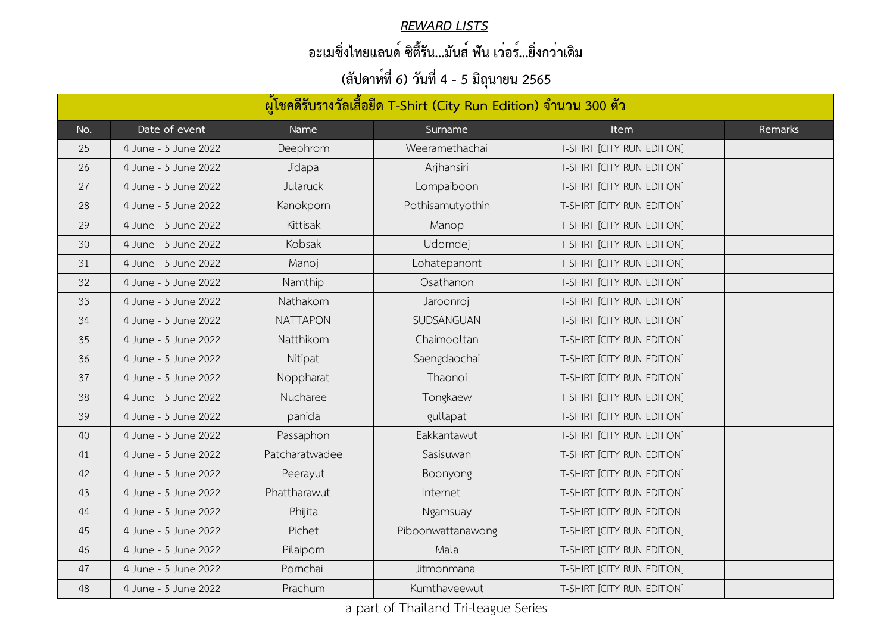#### *REWARD LISTS*

## **อะเมซิ่งไทยแลนด์ ซิตี้รัน...มันส์ ฟัน เว่อร์...ยิ่งกว่าเดิม**

| ผู้โชคดีรับรางวัลเสื้อยืด T-Shirt (City Run Edition) จำนวน 300 ตัว |                      |                 |                   |                            |         |  |
|--------------------------------------------------------------------|----------------------|-----------------|-------------------|----------------------------|---------|--|
| No.                                                                | Date of event        | Name            | Surname           | <b>Item</b>                | Remarks |  |
| 25                                                                 | 4 June - 5 June 2022 | Deephrom        | Weeramethachai    | T-SHIRT [CITY RUN EDITION] |         |  |
| 26                                                                 | 4 June - 5 June 2022 | Jidapa          | Arjhansiri        | T-SHIRT [CITY RUN EDITION] |         |  |
| 27                                                                 | 4 June - 5 June 2022 | Jularuck        | Lompaiboon        | T-SHIRT [CITY RUN EDITION] |         |  |
| 28                                                                 | 4 June - 5 June 2022 | Kanokporn       | Pothisamutyothin  | T-SHIRT [CITY RUN EDITION] |         |  |
| 29                                                                 | 4 June - 5 June 2022 | Kittisak        | Manop             | T-SHIRT [CITY RUN EDITION] |         |  |
| 30                                                                 | 4 June - 5 June 2022 | Kobsak          | Udomdej           | T-SHIRT [CITY RUN EDITION] |         |  |
| 31                                                                 | 4 June - 5 June 2022 | Manoj           | Lohatepanont      | T-SHIRT [CITY RUN EDITION] |         |  |
| 32                                                                 | 4 June - 5 June 2022 | Namthip         | Osathanon         | T-SHIRT [CITY RUN EDITION] |         |  |
| 33                                                                 | 4 June - 5 June 2022 | Nathakorn       | Jaroonroj         | T-SHIRT [CITY RUN EDITION] |         |  |
| 34                                                                 | 4 June - 5 June 2022 | <b>NATTAPON</b> | <b>SUDSANGUAN</b> | T-SHIRT [CITY RUN EDITION] |         |  |
| 35                                                                 | 4 June - 5 June 2022 | Natthikorn      | Chaimooltan       | T-SHIRT [CITY RUN EDITION] |         |  |
| 36                                                                 | 4 June - 5 June 2022 | Nitipat         | Saengdaochai      | T-SHIRT [CITY RUN EDITION] |         |  |
| 37                                                                 | 4 June - 5 June 2022 | Noppharat       | Thaonoi           | T-SHIRT [CITY RUN EDITION] |         |  |
| 38                                                                 | 4 June - 5 June 2022 | Nucharee        | Tongkaew          | T-SHIRT [CITY RUN EDITION] |         |  |
| 39                                                                 | 4 June - 5 June 2022 | panida          | gullapat          | T-SHIRT [CITY RUN EDITION] |         |  |
| 40                                                                 | 4 June - 5 June 2022 | Passaphon       | Eakkantawut       | T-SHIRT [CITY RUN EDITION] |         |  |
| 41                                                                 | 4 June - 5 June 2022 | Patcharatwadee  | Sasisuwan         | T-SHIRT [CITY RUN EDITION] |         |  |
| 42                                                                 | 4 June - 5 June 2022 | Peerayut        | Boonyong          | T-SHIRT [CITY RUN EDITION] |         |  |
| 43                                                                 | 4 June - 5 June 2022 | Phattharawut    | Internet          | T-SHIRT [CITY RUN EDITION] |         |  |
| 44                                                                 | 4 June - 5 June 2022 | Phijita         | <b>Ngamsuay</b>   | T-SHIRT [CITY RUN EDITION] |         |  |
| 45                                                                 | 4 June - 5 June 2022 | Pichet          | Piboonwattanawong | T-SHIRT [CITY RUN EDITION] |         |  |
| 46                                                                 | 4 June - 5 June 2022 | Pilaiporn       | Mala              | T-SHIRT [CITY RUN EDITION] |         |  |
| 47                                                                 | 4 June - 5 June 2022 | Pornchai        | Jitmonmana        | T-SHIRT [CITY RUN EDITION] |         |  |
| 48                                                                 | 4 June - 5 June 2022 | Prachum         | Kumthaveewut      | T-SHIRT [CITY RUN EDITION] |         |  |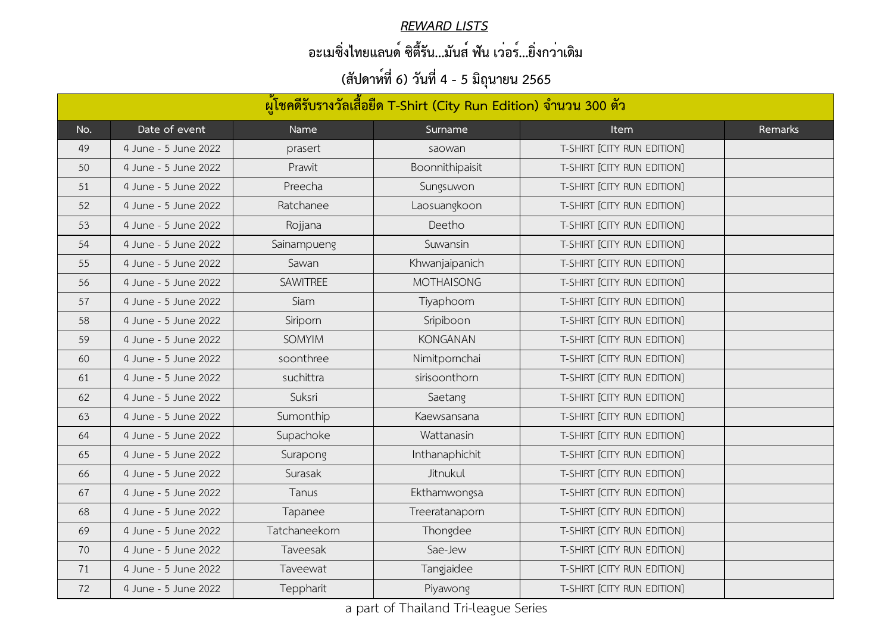#### *REWARD LISTS*

## **อะเมซิ่งไทยแลนด์ ซิตี้รัน...มันส์ ฟัน เว่อร์...ยิ่งกว่าเดิม**

| ผู้โชคดีรับรางวัลเสื้อยืด T-Shirt (City Run Edition) จำนวน 300 ตัว |                      |                 |                   |                            |         |  |  |
|--------------------------------------------------------------------|----------------------|-----------------|-------------------|----------------------------|---------|--|--|
| No.                                                                | Date of event        | Name            | Surname           | <b>Item</b>                | Remarks |  |  |
| 49                                                                 | 4 June - 5 June 2022 | prasert         | saowan            | T-SHIRT [CITY RUN EDITION] |         |  |  |
| 50                                                                 | 4 June - 5 June 2022 | Prawit          | Boonnithipaisit   | T-SHIRT [CITY RUN EDITION] |         |  |  |
| 51                                                                 | 4 June - 5 June 2022 | Preecha         | Sungsuwon         | T-SHIRT [CITY RUN EDITION] |         |  |  |
| 52                                                                 | 4 June - 5 June 2022 | Ratchanee       | Laosuangkoon      | T-SHIRT [CITY RUN EDITION] |         |  |  |
| 53                                                                 | 4 June - 5 June 2022 | Rojjana         | Deetho            | T-SHIRT [CITY RUN EDITION] |         |  |  |
| 54                                                                 | 4 June - 5 June 2022 | Sainampueng     | Suwansin          | T-SHIRT [CITY RUN EDITION] |         |  |  |
| 55                                                                 | 4 June - 5 June 2022 | Sawan           | Khwanjaipanich    | T-SHIRT [CITY RUN EDITION] |         |  |  |
| 56                                                                 | 4 June - 5 June 2022 | <b>SAWITREE</b> | <b>MOTHAISONG</b> | T-SHIRT [CITY RUN EDITION] |         |  |  |
| 57                                                                 | 4 June - 5 June 2022 | Siam            | Tiyaphoom         | T-SHIRT [CITY RUN EDITION] |         |  |  |
| 58                                                                 | 4 June - 5 June 2022 | Siriporn        | Sripiboon         | T-SHIRT [CITY RUN EDITION] |         |  |  |
| 59                                                                 | 4 June - 5 June 2022 | <b>SOMYIM</b>   | <b>KONGANAN</b>   | T-SHIRT [CITY RUN EDITION] |         |  |  |
| 60                                                                 | 4 June - 5 June 2022 | soonthree       | Nimitpornchai     | T-SHIRT [CITY RUN EDITION] |         |  |  |
| 61                                                                 | 4 June - 5 June 2022 | suchittra       | sirisoonthorn     | T-SHIRT [CITY RUN EDITION] |         |  |  |
| 62                                                                 | 4 June - 5 June 2022 | Suksri          | Saetang           | T-SHIRT [CITY RUN EDITION] |         |  |  |
| 63                                                                 | 4 June - 5 June 2022 | Sumonthip       | Kaewsansana       | T-SHIRT [CITY RUN EDITION] |         |  |  |
| 64                                                                 | 4 June - 5 June 2022 | Supachoke       | Wattanasin        | T-SHIRT [CITY RUN EDITION] |         |  |  |
| 65                                                                 | 4 June - 5 June 2022 | Surapong        | Inthanaphichit    | T-SHIRT [CITY RUN EDITION] |         |  |  |
| 66                                                                 | 4 June - 5 June 2022 | Surasak         | Jitnukul          | T-SHIRT [CITY RUN EDITION] |         |  |  |
| 67                                                                 | 4 June - 5 June 2022 | Tanus           | Ekthamwongsa      | T-SHIRT [CITY RUN EDITION] |         |  |  |
| 68                                                                 | 4 June - 5 June 2022 | Tapanee         | Treeratanaporn    | T-SHIRT [CITY RUN EDITION] |         |  |  |
| 69                                                                 | 4 June - 5 June 2022 | Tatchaneekorn   | Thongdee          | T-SHIRT [CITY RUN EDITION] |         |  |  |
| 70                                                                 | 4 June - 5 June 2022 | Taveesak        | Sae-Jew           | T-SHIRT [CITY RUN EDITION] |         |  |  |
| 71                                                                 | 4 June - 5 June 2022 | Taveewat        | Tangjaidee        | T-SHIRT [CITY RUN EDITION] |         |  |  |
| 72                                                                 | 4 June - 5 June 2022 | Teppharit       | Piyawong          | T-SHIRT [CITY RUN EDITION] |         |  |  |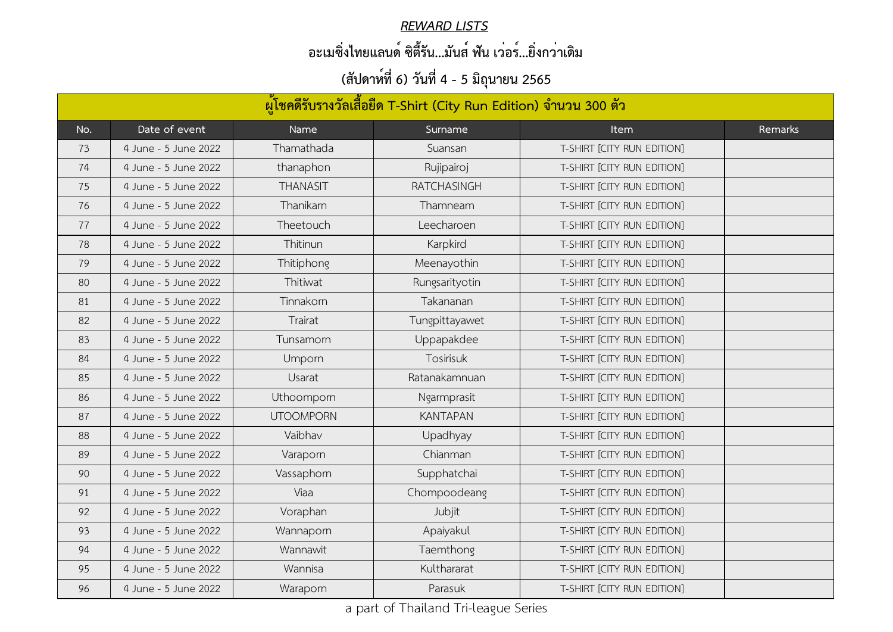#### *REWARD LISTS*

## **อะเมซิ่งไทยแลนด์ ซิตี้รัน...มันส์ ฟัน เว่อร์...ยิ่งกว่าเดิม**

| ้ผู้โชคดีรับรางวัลเสื้อยืด T-Shirt (City Run Edition) จำนวน 300 ตัว |                      |                  |                  |                            |         |  |
|---------------------------------------------------------------------|----------------------|------------------|------------------|----------------------------|---------|--|
| No.                                                                 | Date of event        | Name             | Surname          | <b>Item</b>                | Remarks |  |
| 73                                                                  | 4 June - 5 June 2022 | Thamathada       | Suansan          | T-SHIRT [CITY RUN EDITION] |         |  |
| 74                                                                  | 4 June - 5 June 2022 | thanaphon        | Rujipairoj       | T-SHIRT [CITY RUN EDITION] |         |  |
| 75                                                                  | 4 June - 5 June 2022 | <b>THANASIT</b>  | RATCHASINGH      | T-SHIRT [CITY RUN EDITION] |         |  |
| 76                                                                  | 4 June - 5 June 2022 | Thanikarn        | Thamneam         | T-SHIRT [CITY RUN EDITION] |         |  |
| 77                                                                  | 4 June - 5 June 2022 | Theetouch        | Leecharoen       | T-SHIRT [CITY RUN EDITION] |         |  |
| 78                                                                  | 4 June - 5 June 2022 | Thitinun         | Karpkird         | T-SHIRT [CITY RUN EDITION] |         |  |
| 79                                                                  | 4 June - 5 June 2022 | Thitiphong       | Meenayothin      | T-SHIRT [CITY RUN EDITION] |         |  |
| 80                                                                  | 4 June - 5 June 2022 | Thitiwat         | Rungsarityotin   | T-SHIRT [CITY RUN EDITION] |         |  |
| 81                                                                  | 4 June - 5 June 2022 | Tinnakorn        | Takananan        | T-SHIRT [CITY RUN EDITION] |         |  |
| 82                                                                  | 4 June - 5 June 2022 | Trairat          | Tungpittayawet   | T-SHIRT [CITY RUN EDITION] |         |  |
| 83                                                                  | 4 June - 5 June 2022 | Tunsamorn        | Uppapakdee       | T-SHIRT [CITY RUN EDITION] |         |  |
| 84                                                                  | 4 June - 5 June 2022 | <b>Umporn</b>    | <b>Tosirisuk</b> | T-SHIRT [CITY RUN EDITION] |         |  |
| 85                                                                  | 4 June - 5 June 2022 | Usarat           | Ratanakamnuan    | T-SHIRT [CITY RUN EDITION] |         |  |
| 86                                                                  | 4 June - 5 June 2022 | Uthoomporn       | Ngarmprasit      | T-SHIRT [CITY RUN EDITION] |         |  |
| 87                                                                  | 4 June - 5 June 2022 | <b>UTOOMPORN</b> | <b>KANTAPAN</b>  | T-SHIRT [CITY RUN EDITION] |         |  |
| 88                                                                  | 4 June - 5 June 2022 | Vaibhav          | Upadhyay         | T-SHIRT [CITY RUN EDITION] |         |  |
| 89                                                                  | 4 June - 5 June 2022 | Varaporn         | Chianman         | T-SHIRT [CITY RUN EDITION] |         |  |
| 90                                                                  | 4 June - 5 June 2022 | Vassaphorn       | Supphatchai      | T-SHIRT [CITY RUN EDITION] |         |  |
| 91                                                                  | 4 June - 5 June 2022 | Viaa             | Chompoodeang     | T-SHIRT [CITY RUN EDITION] |         |  |
| 92                                                                  | 4 June - 5 June 2022 | Voraphan         | Jubjit           | T-SHIRT [CITY RUN EDITION] |         |  |
| 93                                                                  | 4 June - 5 June 2022 | Wannaporn        | Apaiyakul        | T-SHIRT [CITY RUN EDITION] |         |  |
| 94                                                                  | 4 June - 5 June 2022 | Wannawit         | Taemthong        | T-SHIRT [CITY RUN EDITION] |         |  |
| 95                                                                  | 4 June - 5 June 2022 | Wannisa          | Kulthararat      | T-SHIRT [CITY RUN EDITION] |         |  |
| 96                                                                  | 4 June - 5 June 2022 | Waraporn         | Parasuk          | T-SHIRT [CITY RUN EDITION] |         |  |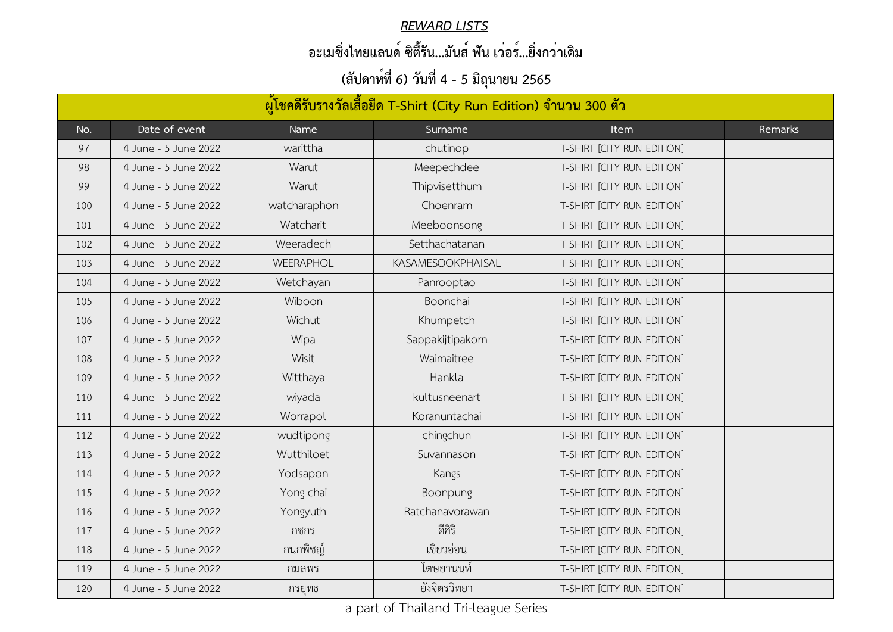#### *REWARD LISTS*

## **อะเมซิ่งไทยแลนด์ ซิตี้รัน...มันส์ ฟัน เว่อร์...ยิ่งกว่าเดิม**

| ้ผู้โชคดีรับรางวัลเสื้อยืด T-Shirt (City Run Edition) จำนวน 300 ตัว |                      |                  |                          |                            |         |  |  |
|---------------------------------------------------------------------|----------------------|------------------|--------------------------|----------------------------|---------|--|--|
| No.                                                                 | Date of event        | Name             | Surname                  | <b>Item</b>                | Remarks |  |  |
| 97                                                                  | 4 June - 5 June 2022 | warittha         | chutinop                 | T-SHIRT [CITY RUN EDITION] |         |  |  |
| 98                                                                  | 4 June - 5 June 2022 | Warut            | Meepechdee               | T-SHIRT [CITY RUN EDITION] |         |  |  |
| 99                                                                  | 4 June - 5 June 2022 | Warut            | Thipvisetthum            | T-SHIRT [CITY RUN EDITION] |         |  |  |
| 100                                                                 | 4 June - 5 June 2022 | watcharaphon     | Choenram                 | T-SHIRT [CITY RUN EDITION] |         |  |  |
| 101                                                                 | 4 June - 5 June 2022 | Watcharit        | Meeboonsong              | T-SHIRT [CITY RUN EDITION] |         |  |  |
| 102                                                                 | 4 June - 5 June 2022 | Weeradech        | Setthachatanan           | T-SHIRT [CITY RUN EDITION] |         |  |  |
| 103                                                                 | 4 June - 5 June 2022 | <b>WEERAPHOL</b> | <b>KASAMESOOKPHAISAL</b> | T-SHIRT [CITY RUN EDITION] |         |  |  |
| 104                                                                 | 4 June - 5 June 2022 | Wetchayan        | Panrooptao               | T-SHIRT [CITY RUN EDITION] |         |  |  |
| 105                                                                 | 4 June - 5 June 2022 | Wiboon           | Boonchai                 | T-SHIRT [CITY RUN EDITION] |         |  |  |
| 106                                                                 | 4 June - 5 June 2022 | Wichut           | Khumpetch                | T-SHIRT [CITY RUN EDITION] |         |  |  |
| 107                                                                 | 4 June - 5 June 2022 | Wipa             | Sappakijtipakorn         | T-SHIRT [CITY RUN EDITION] |         |  |  |
| 108                                                                 | 4 June - 5 June 2022 | Wisit            | Waimaitree               | T-SHIRT [CITY RUN EDITION] |         |  |  |
| 109                                                                 | 4 June - 5 June 2022 | Witthaya         | Hankla                   | T-SHIRT [CITY RUN EDITION] |         |  |  |
| 110                                                                 | 4 June - 5 June 2022 | wiyada           | kultusneenart            | T-SHIRT [CITY RUN EDITION] |         |  |  |
| 111                                                                 | 4 June - 5 June 2022 | Worrapol         | Koranuntachai            | T-SHIRT [CITY RUN EDITION] |         |  |  |
| 112                                                                 | 4 June - 5 June 2022 | wudtipong        | chingchun                | T-SHIRT [CITY RUN EDITION] |         |  |  |
| 113                                                                 | 4 June - 5 June 2022 | Wutthiloet       | Suvannason               | T-SHIRT [CITY RUN EDITION] |         |  |  |
| 114                                                                 | 4 June - 5 June 2022 | Yodsapon         | Kangs                    | T-SHIRT [CITY RUN EDITION] |         |  |  |
| 115                                                                 | 4 June - 5 June 2022 | Yong chai        | Boonpung                 | T-SHIRT [CITY RUN EDITION] |         |  |  |
| 116                                                                 | 4 June - 5 June 2022 | Yongyuth         | Ratchanavorawan          | T-SHIRT [CITY RUN EDITION] |         |  |  |
| 117                                                                 | 4 June - 5 June 2022 | กชกร             | ดีศิริ                   | T-SHIRT [CITY RUN EDITION] |         |  |  |
| 118                                                                 | 4 June - 5 June 2022 | กนกพิชญ์         | เขียวอ่อน                | T-SHIRT [CITY RUN EDITION] |         |  |  |
| 119                                                                 | 4 June - 5 June 2022 | ึกมลพร           | เตษยานนท์                | T-SHIRT [CITY RUN EDITION] |         |  |  |
| 120                                                                 | 4 June - 5 June 2022 | กรยุทธ           | ยังจิตรวิทยา             | T-SHIRT [CITY RUN EDITION] |         |  |  |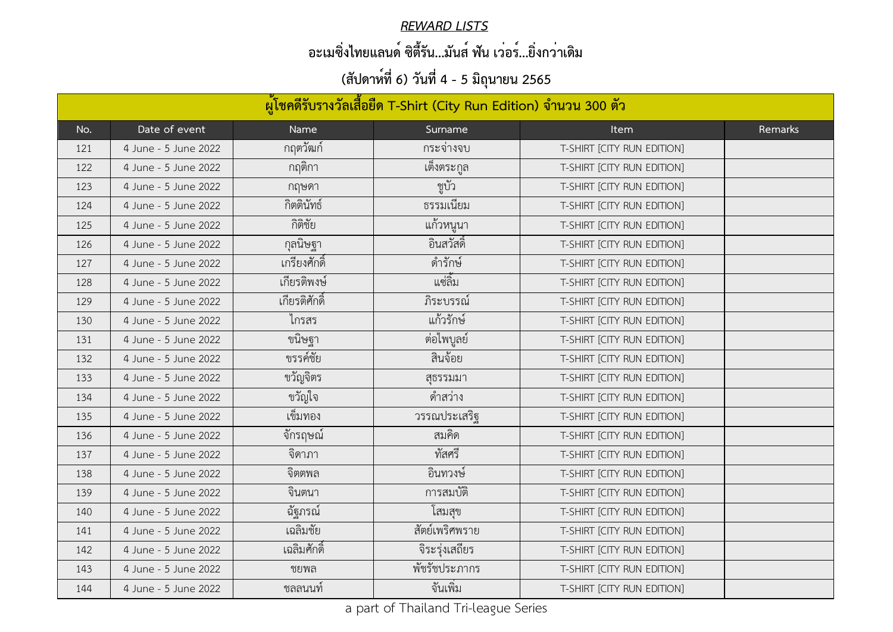#### *REWARD LISTS*

## **อะเมซิ่งไทยแลนด์ ซิตี้รัน...มันส์ ฟัน เว่อร์...ยิ่งกว่าเดิม**

| ้ผู้โชคดีรับรางวัลเสื้อยืด T-Shirt (City Run Edition) จำนวน 300 ตัว |                      |               |                |                            |         |  |  |
|---------------------------------------------------------------------|----------------------|---------------|----------------|----------------------------|---------|--|--|
| No.                                                                 | Date of event        | Name          | Surname        | <b>Item</b>                | Remarks |  |  |
| 121                                                                 | 4 June - 5 June 2022 | ึกฤตวัฒก์     | กระจางจบ       | T-SHIRT [CITY RUN EDITION] |         |  |  |
| 122                                                                 | 4 June - 5 June 2022 | กฤติกา        | ้เต็งตระกูล    | T-SHIRT [CITY RUN EDITION] |         |  |  |
| 123                                                                 | 4 June - 5 June 2022 | กฤษดา         | ชูบัว          | T-SHIRT [CITY RUN EDITION] |         |  |  |
| 124                                                                 | 4 June - 5 June 2022 | กิตตินัทธ์    | ธรรมเนียม      | T-SHIRT [CITY RUN EDITION] |         |  |  |
| 125                                                                 | 4 June - 5 June 2022 | กิติชัย       | แก้วหนูนา      | T-SHIRT [CITY RUN EDITION] |         |  |  |
| 126                                                                 | 4 June - 5 June 2022 | กุลนิษฐา      | ้อินสวัสดิ์    | T-SHIRT [CITY RUN EDITION] |         |  |  |
| 127                                                                 | 4 June - 5 June 2022 | เกรียงศักดิ์  | ดำรักษ์        | T-SHIRT [CITY RUN EDITION] |         |  |  |
| 128                                                                 | 4 June - 5 June 2022 | เกียรติพงษ์   | แซ่ลิม         | T-SHIRT [CITY RUN EDITION] |         |  |  |
| 129                                                                 | 4 June - 5 June 2022 | เกียรติศักดิ์ | ภิระบรรณ์      | T-SHIRT [CITY RUN EDITION] |         |  |  |
| 130                                                                 | 4 June - 5 June 2022 | ไกรสร         | แก้วรักษ์      | T-SHIRT [CITY RUN EDITION] |         |  |  |
| 131                                                                 | 4 June - 5 June 2022 | ขนิษฐา        | ต่อไพบูลย์     | T-SHIRT [CITY RUN EDITION] |         |  |  |
| 132                                                                 | 4 June - 5 June 2022 | ขรรค์ชัย      | สินจ้อย        | T-SHIRT [CITY RUN EDITION] |         |  |  |
| 133                                                                 | 4 June - 5 June 2022 | ขวัญจิตร      | สุธรรมมา       | T-SHIRT [CITY RUN EDITION] |         |  |  |
| 134                                                                 | 4 June - 5 June 2022 | ขวัญใจ        | ดำสว่าง        | T-SHIRT [CITY RUN EDITION] |         |  |  |
| 135                                                                 | 4 June - 5 June 2022 | เข็มทอง       | วรรณประเสริฐ   | T-SHIRT [CITY RUN EDITION] |         |  |  |
| 136                                                                 | 4 June - 5 June 2022 | ້<br>จักรฤษณ์ | สมค์ด          | T-SHIRT [CITY RUN EDITION] |         |  |  |
| 137                                                                 | 4 June - 5 June 2022 | จิดาภา        | ทัสศรี         | T-SHIRT [CITY RUN EDITION] |         |  |  |
| 138                                                                 | 4 June - 5 June 2022 | จิตตพล        | อินทวงษ์       | T-SHIRT [CITY RUN EDITION] |         |  |  |
| 139                                                                 | 4 June - 5 June 2022 | จินตนา        | การสมบัติ      | T-SHIRT [CITY RUN EDITION] |         |  |  |
| 140                                                                 | 4 June - 5 June 2022 | ฉัฐภรณ์       | โสมสุข         | T-SHIRT [CITY RUN EDITION] |         |  |  |
| 141                                                                 | 4 June - 5 June 2022 | เฉลิมชัย      | สัตย์เพริศพราย | T-SHIRT [CITY RUN EDITION] |         |  |  |
| 142                                                                 | 4 June - 5 June 2022 | เฉลิมศักดิ์   | จิระรุ่งเสถียร | T-SHIRT [CITY RUN EDITION] |         |  |  |
| 143                                                                 | 4 June - 5 June 2022 | ชยพล          | พัชรัชประภากร  | T-SHIRT [CITY RUN EDITION] |         |  |  |
| 144                                                                 | 4 June - 5 June 2022 | ชลลนนท์       | จันเพิ่ม       | T-SHIRT [CITY RUN EDITION] |         |  |  |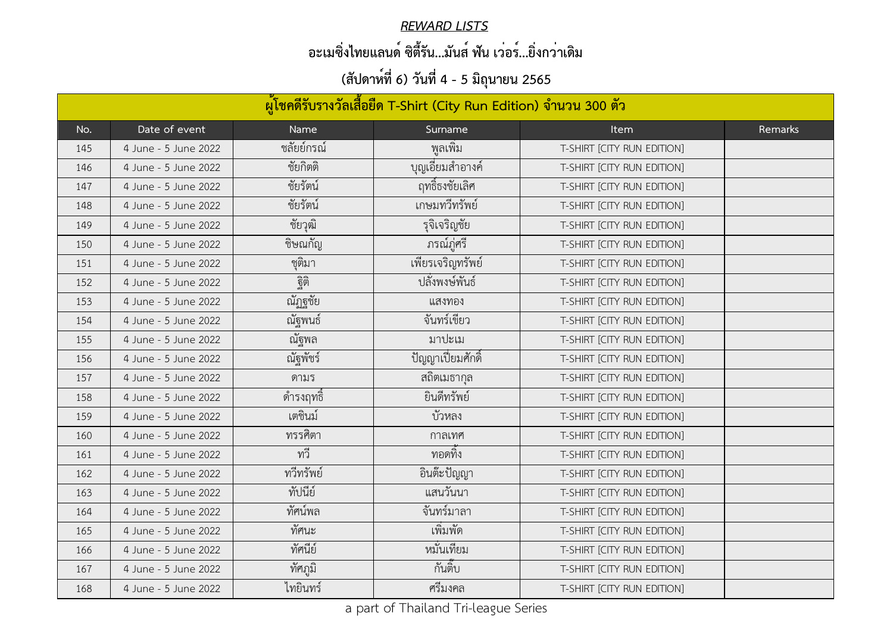#### *REWARD LISTS*

## **อะเมซิ่งไทยแลนด์ ซิตี้รัน...มันส์ ฟัน เว่อร์...ยิ่งกว่าเดิม**

| ผู้โชคดีรับรางวัลเสื้อยืด T-Shirt (City Run Edition) จำนวน 300 ตัว |                      |             |                           |                            |         |  |  |
|--------------------------------------------------------------------|----------------------|-------------|---------------------------|----------------------------|---------|--|--|
| No.                                                                | Date of event        | <b>Name</b> | Surname                   | <b>Item</b>                | Remarks |  |  |
| 145                                                                | 4 June - 5 June 2022 | ชลัยย์กรณ์  | พูลเพิ่ม                  | T-SHIRT [CITY RUN EDITION] |         |  |  |
| 146                                                                | 4 June - 5 June 2022 | ชัยกิตติ    | <u>้</u> บุญเอี่ยมสำอางค์ | T-SHIRT [CITY RUN EDITION] |         |  |  |
| 147                                                                | 4 June - 5 June 2022 | ชัยรัตน์    | ฤทธิ์ธงชัยเลิศ            | T-SHIRT [CITY RUN EDITION] |         |  |  |
| 148                                                                | 4 June - 5 June 2022 | ชัยรัตน์    | เกษมทวีทรัพย์             | T-SHIRT [CITY RUN EDITION] |         |  |  |
| 149                                                                | 4 June - 5 June 2022 | ชัยวุฒิ     | รุจิเจริญชัย              | T-SHIRT [CITY RUN EDITION] |         |  |  |
| 150                                                                | 4 June - 5 June 2022 | ชิษณกัญ     | ภรณ์ภูศรี                 | T-SHIRT [CITY RUN EDITION] |         |  |  |
| 151                                                                | 4 June - 5 June 2022 | ชุติมา      | เพียรเจริญทรัพย์          | T-SHIRT [CITY RUN EDITION] |         |  |  |
| 152                                                                | 4 June - 5 June 2022 | ฐิติ        | ปลังพงษ์พันธ์             | T-SHIRT [CITY RUN EDITION] |         |  |  |
| 153                                                                | 4 June - 5 June 2022 | ณัฏฐชัย     | แสงทอง                    | T-SHIRT [CITY RUN EDITION] |         |  |  |
| 154                                                                | 4 June - 5 June 2022 | ณัฐพนธ์     | จันทร์เขียว               | T-SHIRT [CITY RUN EDITION] |         |  |  |
| 155                                                                | 4 June - 5 June 2022 | ณัฐพล       | มาปะเม                    | T-SHIRT [CITY RUN EDITION] |         |  |  |
| 156                                                                | 4 June - 5 June 2022 | ณัฐพัชร์    | ปัญญาเปี่ยมศักดิ์         | T-SHIRT [CITY RUN EDITION] |         |  |  |
| 157                                                                | 4 June - 5 June 2022 | ดามร        | ิสถิตเมธากุล              | T-SHIRT [CITY RUN EDITION] |         |  |  |
| 158                                                                | 4 June - 5 June 2022 | ดำรงฤทธิ์   | ยินดีทรัพย์               | T-SHIRT [CITY RUN EDITION] |         |  |  |
| 159                                                                | 4 June - 5 June 2022 | เตชินม์     | บัวหลง                    | T-SHIRT [CITY RUN EDITION] |         |  |  |
| 160                                                                | 4 June - 5 June 2022 | ทรรศิตา     | กาลเทศ                    | T-SHIRT [CITY RUN EDITION] |         |  |  |
| 161                                                                | 4 June - 5 June 2022 | ทวี         | ทอดทิง                    | T-SHIRT [CITY RUN EDITION] |         |  |  |
| 162                                                                | 4 June - 5 June 2022 | ทวีทรัพย์   | อินต๊ะปัญญา               | T-SHIRT [CITY RUN EDITION] |         |  |  |
| 163                                                                | 4 June - 5 June 2022 | ทัปนีย์     | แสนวันนา                  | T-SHIRT [CITY RUN EDITION] |         |  |  |
| 164                                                                | 4 June - 5 June 2022 | ทัศน์พล     | จันทร์มาลา                | T-SHIRT [CITY RUN EDITION] |         |  |  |
| 165                                                                | 4 June - 5 June 2022 | ทัศนะ       | ้เพิ่มพัด                 | T-SHIRT [CITY RUN EDITION] |         |  |  |
| 166                                                                | 4 June - 5 June 2022 | ทัศนีย์     | หมั่นเทียม                | T-SHIRT [CITY RUN EDITION] |         |  |  |
| 167                                                                | 4 June - 5 June 2022 | ทัศภูมิ     | กันตึ๊บ                   | T-SHIRT [CITY RUN EDITION] |         |  |  |
| 168                                                                | 4 June - 5 June 2022 | ไทยินทร์    | ศรีมงคล                   | T-SHIRT [CITY RUN EDITION] |         |  |  |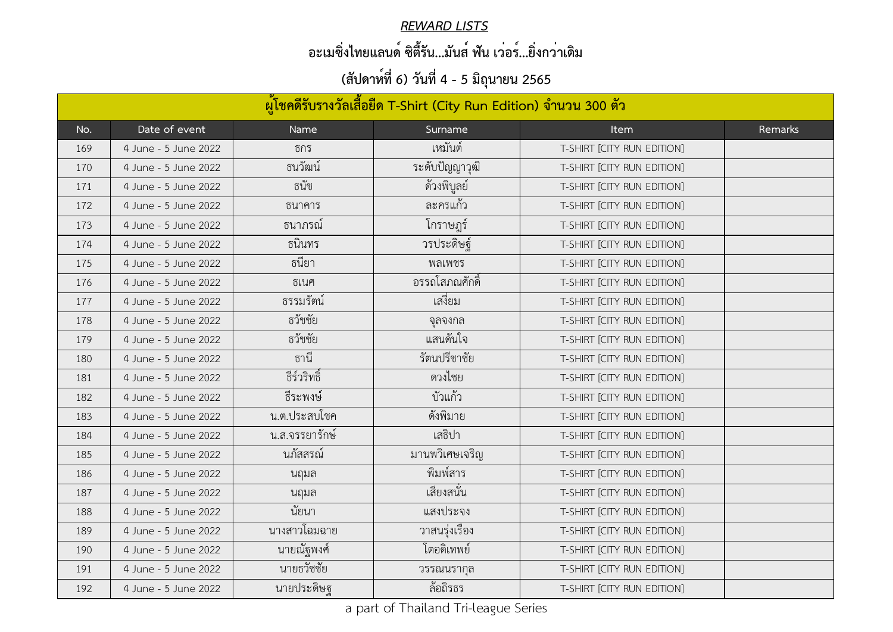#### *REWARD LISTS*

## **อะเมซิ่งไทยแลนด์ ซิตี้รัน...มันส์ ฟัน เว่อร์...ยิ่งกว่าเดิม**

| ้ผู้โชคดีรับรางวัลเสื้อยืด T-Shirt (City Run Edition) จำนวน 300 ตัว |                      |                |                 |                            |         |  |  |
|---------------------------------------------------------------------|----------------------|----------------|-----------------|----------------------------|---------|--|--|
| No.                                                                 | Date of event        | Name           | Surname         | Item                       | Remarks |  |  |
| 169                                                                 | 4 June - 5 June 2022 | ธกร            | เหมันต์         | T-SHIRT [CITY RUN EDITION] |         |  |  |
| 170                                                                 | 4 June - 5 June 2022 | ธนวัฒน์        | ระดับปัญญาวุฒิ  | T-SHIRT [CITY RUN EDITION] |         |  |  |
| 171                                                                 | 4 June - 5 June 2022 | ธนัช           | ด้วงพิบูลย์     | T-SHIRT [CITY RUN EDITION] |         |  |  |
| 172                                                                 | 4 June - 5 June 2022 | ธนาคาร         | ิละครแก้ว       | T-SHIRT [CITY RUN EDITION] |         |  |  |
| 173                                                                 | 4 June - 5 June 2022 | <u>ธนาภรณ์</u> | โกราษฎร์        | T-SHIRT [CITY RUN EDITION] |         |  |  |
| 174                                                                 | 4 June - 5 June 2022 | ธนินทร         | วรประดิษฐ์      | T-SHIRT [CITY RUN EDITION] |         |  |  |
| 175                                                                 | 4 June - 5 June 2022 | ธนิยา          | พลเพชร          | T-SHIRT [CITY RUN EDITION] |         |  |  |
| 176                                                                 | 4 June - 5 June 2022 | ธเนศ           | ้อรรถโสภณศักดิ์ | T-SHIRT [CITY RUN EDITION] |         |  |  |
| 177                                                                 | 4 June - 5 June 2022 | ธรรมรัตน์      | เสงียม          | T-SHIRT [CITY RUN EDITION] |         |  |  |
| 178                                                                 | 4 June - 5 June 2022 | ธวัชชัย        | จุลจงกล         | T-SHIRT [CITY RUN EDITION] |         |  |  |
| 179                                                                 | 4 June - 5 June 2022 | ธวัชชัย        | แสนดันใจ        | T-SHIRT [CITY RUN EDITION] |         |  |  |
| 180                                                                 | 4 June - 5 June 2022 | ธานี           | รัตนปรีชาชัย    | T-SHIRT [CITY RUN EDITION] |         |  |  |
| 181                                                                 | 4 June - 5 June 2022 | ธีร์วริทธิ์    | ดวงไชย          | T-SHIRT [CITY RUN EDITION] |         |  |  |
| 182                                                                 | 4 June - 5 June 2022 | ธีระพงษ์       | บัวแก้ว         | T-SHIRT [CITY RUN EDITION] |         |  |  |
| 183                                                                 | 4 June - 5 June 2022 | น.ต.ประสบโชค   | ดั้งพิมาย       | T-SHIRT [CITY RUN EDITION] |         |  |  |
| 184                                                                 | 4 June - 5 June 2022 | น.ส.จรรยารักษ์ | เสธิปา          | T-SHIRT [CITY RUN EDITION] |         |  |  |
| 185                                                                 | 4 June - 5 June 2022 | นภัสสรณ์       | มานพวิเศษเจริญ  | T-SHIRT [CITY RUN EDITION] |         |  |  |
| 186                                                                 | 4 June - 5 June 2022 | นฤมล           | พิมพ์สาร        | T-SHIRT [CITY RUN EDITION] |         |  |  |
| 187                                                                 | 4 June - 5 June 2022 | นฤมล           | เสียงสนัน       | T-SHIRT [CITY RUN EDITION] |         |  |  |
| 188                                                                 | 4 June - 5 June 2022 | นัยนา          | แสงประจง        | T-SHIRT [CITY RUN EDITION] |         |  |  |
| 189                                                                 | 4 June - 5 June 2022 | นางสาวโฉมฉาย   | วาสนรุ่งเรื่อง  | T-SHIRT [CITY RUN EDITION] |         |  |  |
| 190                                                                 | 4 June - 5 June 2022 | นายณัฐพงศ์     | โตอดิเทพย์      | T-SHIRT [CITY RUN EDITION] |         |  |  |
| 191                                                                 | 4 June - 5 June 2022 | นายธวัชชัย     | วรรณนรากุล      | T-SHIRT [CITY RUN EDITION] |         |  |  |
| 192                                                                 | 4 June - 5 June 2022 | นายประดิษฐ     | ล้อถิรธร        | T-SHIRT [CITY RUN EDITION] |         |  |  |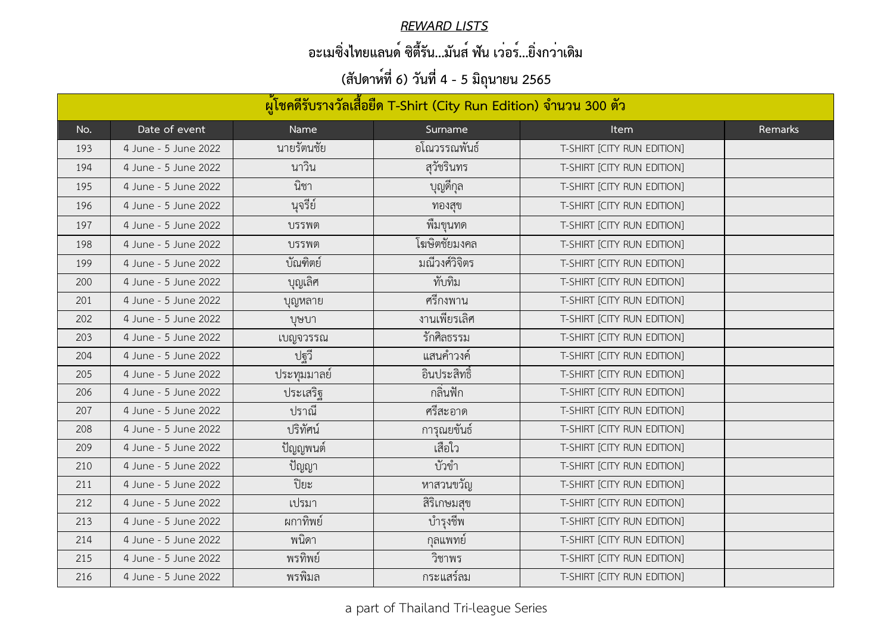#### *REWARD LISTS*

## **อะเมซิ่งไทยแลนด์ ซิตี้รัน...มันส์ ฟัน เว่อร์...ยิ่งกว่าเดิม**

| ้ผู้โชคดีรับรางวัลเสื้อยืด T-Shirt (City Run Edition) จำนวน 300 ตัว |                      |             |                 |                            |         |  |  |
|---------------------------------------------------------------------|----------------------|-------------|-----------------|----------------------------|---------|--|--|
| No.                                                                 | Date of event        | Name        | Surname         | <b>Item</b>                | Remarks |  |  |
| 193                                                                 | 4 June - 5 June 2022 | นายรัตนชัย  | อโณวรรณพันธ์    | T-SHIRT [CITY RUN EDITION] |         |  |  |
| 194                                                                 | 4 June - 5 June 2022 | นาวิน       | สุวัชรินทร      | T-SHIRT [CITY RUN EDITION] |         |  |  |
| 195                                                                 | 4 June - 5 June 2022 | นิชา        | ู บุญดีกุล<br>- | T-SHIRT [CITY RUN EDITION] |         |  |  |
| 196                                                                 | 4 June - 5 June 2022 | นุจรีย์     | ทองสุข          | T-SHIRT [CITY RUN EDITION] |         |  |  |
| 197                                                                 | 4 June - 5 June 2022 | บรรพต       | พิมขุนทด        | T-SHIRT [CITY RUN EDITION] |         |  |  |
| 198                                                                 | 4 June - 5 June 2022 | บรรพต       | โฆษิตชัยมงคล    | T-SHIRT [CITY RUN EDITION] |         |  |  |
| 199                                                                 | 4 June - 5 June 2022 | บัณฑิตย์    | มณีวงศ์วิจิตร   | T-SHIRT [CITY RUN EDITION] |         |  |  |
| 200                                                                 | 4 June - 5 June 2022 | บุญเลิศ     | ทับทิม          | T-SHIRT [CITY RUN EDITION] |         |  |  |
| 201                                                                 | 4 June - 5 June 2022 | บุญหลาย     | ุศรีกงพาน       | T-SHIRT [CITY RUN EDITION] |         |  |  |
| 202                                                                 | 4 June - 5 June 2022 | บษบา        | งานเพียรเลิศ    | T-SHIRT [CITY RUN EDITION] |         |  |  |
| 203                                                                 | 4 June - 5 June 2022 | เบญจวรรณ    | รักศิลธรรม      | T-SHIRT [CITY RUN EDITION] |         |  |  |
| 204                                                                 | 4 June - 5 June 2022 | ปฐวี        | แสนคำวงค์       | T-SHIRT [CITY RUN EDITION] |         |  |  |
| 205                                                                 | 4 June - 5 June 2022 | ประทุมมาลย์ | อินประสิทธิ์    | T-SHIRT [CITY RUN EDITION] |         |  |  |
| 206                                                                 | 4 June - 5 June 2022 | ประเสริฐ    | กลินฟัก         | T-SHIRT [CITY RUN EDITION] |         |  |  |
| 207                                                                 | 4 June - 5 June 2022 | ปราณี       | ศรีสะอาด        | T-SHIRT [CITY RUN EDITION] |         |  |  |
| 208                                                                 | 4 June - 5 June 2022 | ปริทัศน์    | การุณยขันธ์     | T-SHIRT [CITY RUN EDITION] |         |  |  |
| 209                                                                 | 4 June - 5 June 2022 | ปัญญพนต์    | เสือใว          | T-SHIRT [CITY RUN EDITION] |         |  |  |
| 210                                                                 | 4 June - 5 June 2022 | ปัญญา       | บัวขำ           | T-SHIRT [CITY RUN EDITION] |         |  |  |
| 211                                                                 | 4 June - 5 June 2022 | ปิยะ        | หาสวนขวัญ       | T-SHIRT [CITY RUN EDITION] |         |  |  |
| 212                                                                 | 4 June - 5 June 2022 | เปรมา       | สิริเกษมสุข     | T-SHIRT [CITY RUN EDITION] |         |  |  |
| 213                                                                 | 4 June - 5 June 2022 | ผกาทิพย์    | บำรุงชีพ        | T-SHIRT [CITY RUN EDITION] |         |  |  |
| 214                                                                 | 4 June - 5 June 2022 | พนิดา       | กลแพทย์         | T-SHIRT [CITY RUN EDITION] |         |  |  |
| 215                                                                 | 4 June - 5 June 2022 | พรทิพย์     | วิชาพร          | T-SHIRT [CITY RUN EDITION] |         |  |  |
| 216                                                                 | 4 June - 5 June 2022 | พรพิมล      | กระแสร์ลม       | T-SHIRT [CITY RUN EDITION] |         |  |  |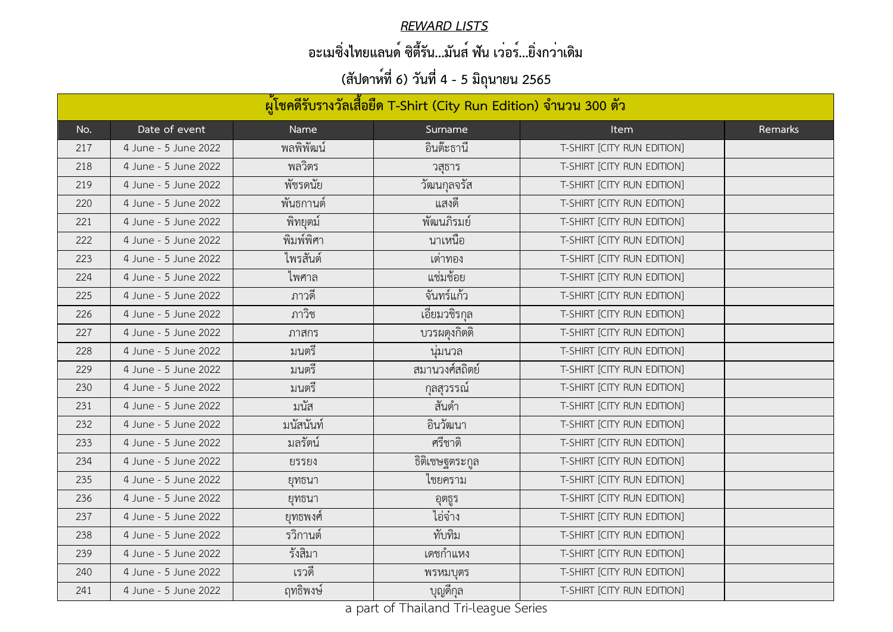#### *REWARD LISTS*

## **อะเมซิ่งไทยแลนด์ ซิตี้รัน...มันส์ ฟัน เว่อร์...ยิ่งกว่าเดิม**

| ้ผู้โชคดีรับรางวัลเสื้อยืด T-Shirt (City Run Edition) จำนวน 300 ตัว |                      |           |                 |                            |         |  |  |
|---------------------------------------------------------------------|----------------------|-----------|-----------------|----------------------------|---------|--|--|
| No.                                                                 | Date of event        | Name      | Surname         | <b>Item</b>                | Remarks |  |  |
| 217                                                                 | 4 June - 5 June 2022 | พลพิพัฒน์ | อินต๊ะธานี      | T-SHIRT [CITY RUN EDITION] |         |  |  |
| 218                                                                 | 4 June - 5 June 2022 | พลวิตร    | วสธาร           | T-SHIRT [CITY RUN EDITION] |         |  |  |
| 219                                                                 | 4 June - 5 June 2022 | พัชรดนัย  | วัฒนกุลจรัส     | T-SHIRT [CITY RUN EDITION] |         |  |  |
| 220                                                                 | 4 June - 5 June 2022 | พนธกานต์  | แสงดิ           | T-SHIRT [CITY RUN EDITION] |         |  |  |
| 221                                                                 | 4 June - 5 June 2022 | พิทยุตมํ  | พัฒนภิรมย์      | T-SHIRT [CITY RUN EDITION] |         |  |  |
| 222                                                                 | 4 June - 5 June 2022 | พิมพ์พิศา | นาเหนือ         | T-SHIRT [CITY RUN EDITION] |         |  |  |
| 223                                                                 | 4 June - 5 June 2022 | ไพรสันต์  | เตาทอง          | T-SHIRT [CITY RUN EDITION] |         |  |  |
| 224                                                                 | 4 June - 5 June 2022 | ไพศาล     | แซมช้อย         | T-SHIRT [CITY RUN EDITION] |         |  |  |
| 225                                                                 | 4 June - 5 June 2022 | ุ ภาวด์   | จันทร์แก้ว      | T-SHIRT [CITY RUN EDITION] |         |  |  |
| 226                                                                 | 4 June - 5 June 2022 | ภาวิช     | เอียมวชิรกุล    | T-SHIRT [CITY RUN EDITION] |         |  |  |
| 227                                                                 | 4 June - 5 June 2022 | ภาสกร     | บวรผดุงกิตติ    | T-SHIRT [CITY RUN EDITION] |         |  |  |
| 228                                                                 | 4 June - 5 June 2022 | มนตรี     | นุมนวล          | T-SHIRT [CITY RUN EDITION] |         |  |  |
| 229                                                                 | 4 June - 5 June 2022 | มนตรี     | สมานวงศ์สถิตย์  | T-SHIRT [CITY RUN EDITION] |         |  |  |
| 230                                                                 | 4 June - 5 June 2022 | มนตรี     | ึกุลสุวรรณ์     | T-SHIRT [CITY RUN EDITION] |         |  |  |
| 231                                                                 | 4 June - 5 June 2022 | มนัส      | สันดำ           | T-SHIRT [CITY RUN EDITION] |         |  |  |
| 232                                                                 | 4 June - 5 June 2022 | มนัสนันท์ | อินวัฒนา        | T-SHIRT [CITY RUN EDITION] |         |  |  |
| 233                                                                 | 4 June - 5 June 2022 | ้มลรัตน์  | ศรีชาติ         | T-SHIRT [CITY RUN EDITION] |         |  |  |
| 234                                                                 | 4 June - 5 June 2022 | ยรรยง     | ์ธิติเชษฐตระกูล | T-SHIRT [CITY RUN EDITION] |         |  |  |
| 235                                                                 | 4 June - 5 June 2022 | ยุทธนา    | ไชยคราม         | T-SHIRT [CITY RUN EDITION] |         |  |  |
| 236                                                                 | 4 June - 5 June 2022 | ยุทธนา    | อุตธูร          | T-SHIRT [CITY RUN EDITION] |         |  |  |
| 237                                                                 | 4 June - 5 June 2022 | ยุทธพงศ์  | ไอจ๋าง          | T-SHIRT [CITY RUN EDITION] |         |  |  |
| 238                                                                 | 4 June - 5 June 2022 | รวิกานต์  | ทับทิม          | T-SHIRT [CITY RUN EDITION] |         |  |  |
| 239                                                                 | 4 June - 5 June 2022 | รังสิมา   | เดชกำแหง        | T-SHIRT [CITY RUN EDITION] |         |  |  |
| 240                                                                 | 4 June - 5 June 2022 | เรวดี     | พรหมบุตร        | T-SHIRT [CITY RUN EDITION] |         |  |  |
| 241                                                                 | 4 June - 5 June 2022 | ฤทธิพงษ์  | ู บุญดีกุล<br>- | T-SHIRT [CITY RUN EDITION] |         |  |  |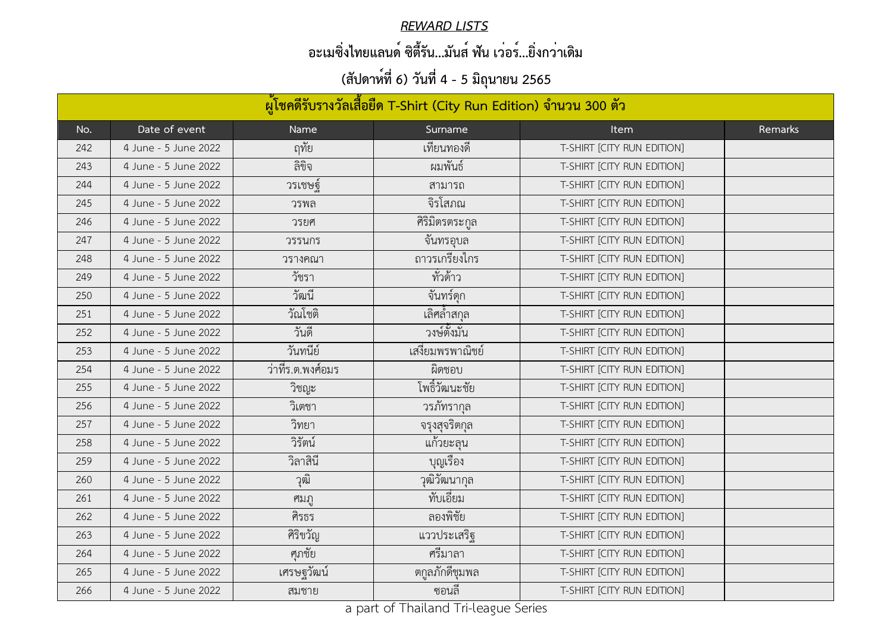#### *REWARD LISTS*

## **อะเมซิ่งไทยแลนด์ ซิตี้รัน...มันส์ ฟัน เว่อร์...ยิ่งกว่าเดิม**

| ้ผู้โชคดีรับรางวัลเสื้อยืด T-Shirt (City Run Edition) จำนวน 300 ตัว |                      |                 |                                              |                            |         |  |  |
|---------------------------------------------------------------------|----------------------|-----------------|----------------------------------------------|----------------------------|---------|--|--|
| No.                                                                 | Date of event        | Name            | Surname                                      | <b>Item</b>                | Remarks |  |  |
| 242                                                                 | 4 June - 5 June 2022 | ฤทัย            | เทียนทองดี                                   | T-SHIRT [CITY RUN EDITION] |         |  |  |
| 243                                                                 | 4 June - 5 June 2022 | ลิขิจ           | ผมพันธ์                                      | T-SHIRT [CITY RUN EDITION] |         |  |  |
| 244                                                                 | 4 June - 5 June 2022 | วรเชษฐ์         | ิสามารถ                                      | T-SHIRT [CITY RUN EDITION] |         |  |  |
| 245                                                                 | 4 June - 5 June 2022 | วรพล            | จิรโสภณ                                      | T-SHIRT [CITY RUN EDITION] |         |  |  |
| 246                                                                 | 4 June - 5 June 2022 | วรยศ            | ์ศิริมิตรตระกูล                              | T-SHIRT [CITY RUN EDITION] |         |  |  |
| 247                                                                 | 4 June - 5 June 2022 | วรรนกร          | จันทรอุบล                                    | T-SHIRT [CITY RUN EDITION] |         |  |  |
| 248                                                                 | 4 June - 5 June 2022 | วรางคณา         | ถาวรเกรียงไกร                                | T-SHIRT [CITY RUN EDITION] |         |  |  |
| 249                                                                 | 4 June - 5 June 2022 | วัชรา           | ทั่วด้าว                                     | T-SHIRT [CITY RUN EDITION] |         |  |  |
| 250                                                                 | 4 June - 5 June 2022 | วัฒนี           | จันทร์ดุก                                    | T-SHIRT [CITY RUN EDITION] |         |  |  |
| 251                                                                 | 4 June - 5 June 2022 | วัณโชติ         | ้เลิศล้ำสกุล                                 | T-SHIRT [CITY RUN EDITION] |         |  |  |
| 252                                                                 | 4 June - 5 June 2022 | วันดี           | ้วงษ์ตั้งมัน                                 | T-SHIRT [CITY RUN EDITION] |         |  |  |
| 253                                                                 | 4 June - 5 June 2022 | วันทนีย์        | เสงียมพรพาณิชย์                              | T-SHIRT [CITY RUN EDITION] |         |  |  |
| 254                                                                 | 4 June - 5 June 2022 | วาทิร.ต.พงศ้อมร | ผิดชอบ                                       | T-SHIRT [CITY RUN EDITION] |         |  |  |
| 255                                                                 | 4 June - 5 June 2022 | วิชญะ           | โพธิ์วัฒนะชัย                                | T-SHIRT [CITY RUN EDITION] |         |  |  |
| 256                                                                 | 4 June - 5 June 2022 | วิเตชา          | วรภัทรากุล                                   | T-SHIRT [CITY RUN EDITION] |         |  |  |
| 257                                                                 | 4 June - 5 June 2022 | วิทยา           | จรุงสุจริตกุล<br>$\mathbf{y}$ , $\mathbf{y}$ | T-SHIRT [CITY RUN EDITION] |         |  |  |
| 258                                                                 | 4 June - 5 June 2022 | วิรัตน์         | แก้วยะลุน                                    | T-SHIRT [CITY RUN EDITION] |         |  |  |
| 259                                                                 | 4 June - 5 June 2022 | วิลาสินี        | บุญเรื่อง                                    | T-SHIRT [CITY RUN EDITION] |         |  |  |
| 260                                                                 | 4 June - 5 June 2022 | วิตา            | วุฒิวัฒนากุล                                 | T-SHIRT [CITY RUN EDITION] |         |  |  |
| 261                                                                 | 4 June - 5 June 2022 | ศมภู            | ทับเอี่ยม                                    | T-SHIRT [CITY RUN EDITION] |         |  |  |
| 262                                                                 | 4 June - 5 June 2022 | ศิรธร           | ลองพิชัย                                     | T-SHIRT [CITY RUN EDITION] |         |  |  |
| 263                                                                 | 4 June - 5 June 2022 | ศิริขวัญ        | แววประเสริฐ                                  | T-SHIRT [CITY RUN EDITION] |         |  |  |
| 264                                                                 | 4 June - 5 June 2022 | ศุภชัย          | ศรีมาลา                                      | T-SHIRT [CITY RUN EDITION] |         |  |  |
| 265                                                                 | 4 June - 5 June 2022 | เศรษฐวัฒน์      | ตกูลภักดีชุมพล                               | T-SHIRT [CITY RUN EDITION] |         |  |  |
| 266                                                                 | 4 June - 5 June 2022 | สมชาย           | ซอนลิ                                        | T-SHIRT [CITY RUN EDITION] |         |  |  |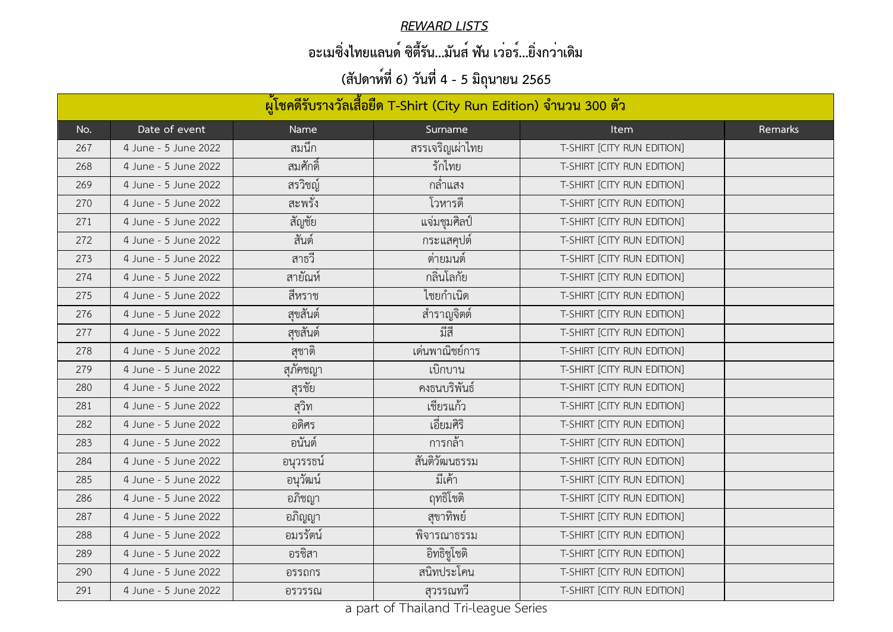#### *REWARD LISTS*

## **อะเมซิ่งไทยแลนด์ ซิตี้รัน...มันส์ ฟัน เว่อร์...ยิ่งกว่าเดิม**

| ้ผู้โชคดีรับรางวัลเสื้อยืด T-Shirt (City Run Edition) จำนวน 300 ตัว |                      |           |                 |                            |         |  |  |
|---------------------------------------------------------------------|----------------------|-----------|-----------------|----------------------------|---------|--|--|
| No.                                                                 | Date of event        | Name      | Surname         | Item                       | Remarks |  |  |
| 267                                                                 | 4 June - 5 June 2022 | สมนึก     | สรรเจริญเผ่าไทย | T-SHIRT [CITY RUN EDITION] |         |  |  |
| 268                                                                 | 4 June - 5 June 2022 | สมศักดิ์  | รักไทย          | T-SHIRT [CITY RUN EDITION] |         |  |  |
| 269                                                                 | 4 June - 5 June 2022 | สรวิชญ์   | กล้าแสง         | T-SHIRT [CITY RUN EDITION] |         |  |  |
| 270                                                                 | 4 June - 5 June 2022 | สะพรัง    | โวหารดี         | T-SHIRT [CITY RUN EDITION] |         |  |  |
| 271                                                                 | 4 June - 5 June 2022 | สัญชัย    | แจ่มชุมศิลป์    | T-SHIRT [CITY RUN EDITION] |         |  |  |
| 272                                                                 | 4 June - 5 June 2022 | สันต์     | กระแสคุปต์      | T-SHIRT [CITY RUN EDITION] |         |  |  |
| 273                                                                 | 4 June - 5 June 2022 | สาธวี     | ิตายมนต์        | T-SHIRT [CITY RUN EDITION] |         |  |  |
| 274                                                                 | 4 June - 5 June 2022 | สายัณห์   | กลิ่นโลกัย      | T-SHIRT [CITY RUN EDITION] |         |  |  |
| 275                                                                 | 4 June - 5 June 2022 | สีหราช    | ไชยกำเนิด       | T-SHIRT [CITY RUN EDITION] |         |  |  |
| 276                                                                 | 4 June - 5 June 2022 | สุขสันต์  | สำราญจิตต์      | T-SHIRT [CITY RUN EDITION] |         |  |  |
| 277                                                                 | 4 June - 5 June 2022 | สุขสันต์  | มีสี            | T-SHIRT [CITY RUN EDITION] |         |  |  |
| 278                                                                 | 4 June - 5 June 2022 | ิสฺชาติ   | เด่นพาณิชย์การ  | T-SHIRT [CITY RUN EDITION] |         |  |  |
| 279                                                                 | 4 June - 5 June 2022 | ิสุภัคชญา | ้เบิกบาน        | T-SHIRT [CITY RUN EDITION] |         |  |  |
| 280                                                                 | 4 June - 5 June 2022 | สุรชัย    | คงธนบริพันธ์    | T-SHIRT [CITY RUN EDITION] |         |  |  |
| 281                                                                 | 4 June - 5 June 2022 | สุวิท     | เชียรแก้ว       | T-SHIRT [CITY RUN EDITION] |         |  |  |
| 282                                                                 | 4 June - 5 June 2022 | อดิศร     | เอียมศิริ       | T-SHIRT [CITY RUN EDITION] |         |  |  |
| 283                                                                 | 4 June - 5 June 2022 | ้อนันต์   | ึการกล้า        | T-SHIRT [CITY RUN EDITION] |         |  |  |
| 284                                                                 | 4 June - 5 June 2022 | อนุวรรธน์ | สั้นติวัฒนธรรม  | T-SHIRT [CITY RUN EDITION] |         |  |  |
| 285                                                                 | 4 June - 5 June 2022 | อนุวัฒน์  | มีเค้า          | T-SHIRT [CITY RUN EDITION] |         |  |  |
| 286                                                                 | 4 June - 5 June 2022 | อภิชญา    | ฤทธิโชติ        | T-SHIRT [CITY RUN EDITION] |         |  |  |
| 287                                                                 | 4 June - 5 June 2022 | ื้อภิญญา  | สุขาทิพย์       | T-SHIRT [CITY RUN EDITION] |         |  |  |
| 288                                                                 | 4 June - 5 June 2022 | อมรรัตน์  | พิจารณาธรรม     | T-SHIRT [CITY RUN EDITION] |         |  |  |
| 289                                                                 | 4 June - 5 June 2022 | อรชิสา    | อิทธิชูโชติ     | T-SHIRT [CITY RUN EDITION] |         |  |  |
| 290                                                                 | 4 June - 5 June 2022 | อรรถกร    | สนิทประโคน      | T-SHIRT [CITY RUN EDITION] |         |  |  |
| 291                                                                 | 4 June - 5 June 2022 | อรวรรณ    | สุวรรณทวิ       | T-SHIRT [CITY RUN EDITION] |         |  |  |